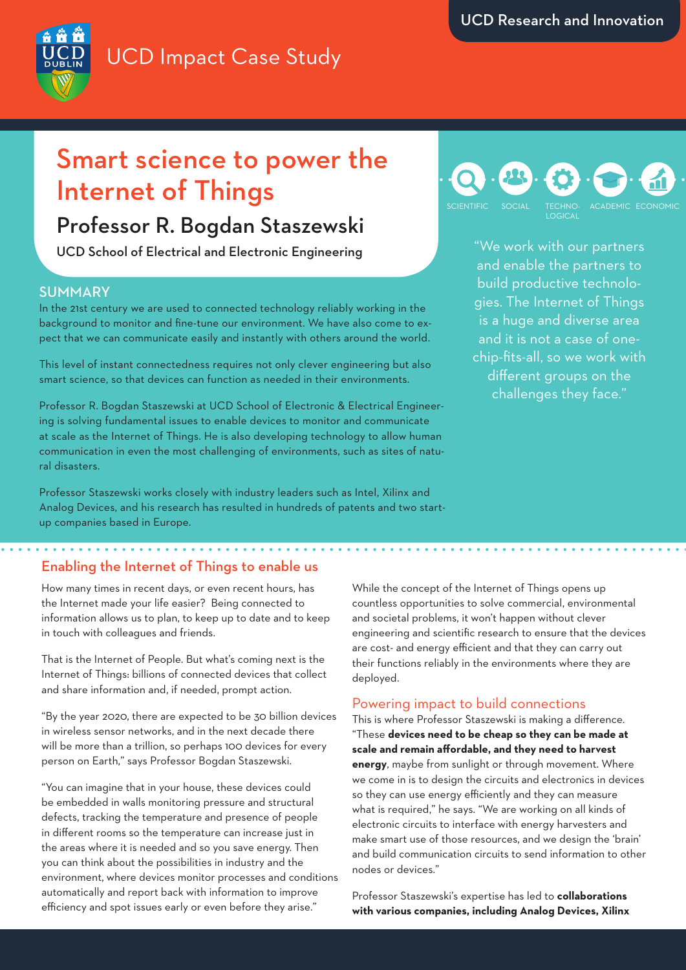# UCD Impact Case Study



## Smart science to power the Internet of Things

### Professor R. Bogdan Staszewski

UCD School of Electrical and Electronic Engineering

#### **SUMMARY**

In the 21st century we are used to connected technology reliably working in the background to monitor and fine-tune our environment. We have also come to expect that we can communicate easily and instantly with others around the world.

This level of instant connectedness requires not only clever engineering but also smart science, so that devices can function as needed in their environments.

Professor R. Bogdan Staszewski at UCD School of Electronic & Electrical Engineering is solving fundamental issues to enable devices to monitor and communicate at scale as the Internet of Things. He is also developing technology to allow human communication in even the most challenging of environments, such as sites of natural disasters.

Professor Staszewski works closely with industry leaders such as Intel, Xilinx and Analog Devices, and his research has resulted in hundreds of patents and two startup companies based in Europe.

### TECHNO-LOGICAL SCIENTIFIC SOCIAL TECHNO- ACADEMIC ECONOMIC

"We work with our partners and enable the partners to build productive technologies. The Internet of Things is a huge and diverse area and it is not a case of onechip-fits-all, so we work with different groups on the challenges they face."

### Enabling the Internet of Things to enable us

How many times in recent days, or even recent hours, has the Internet made your life easier? Being connected to information allows us to plan, to keep up to date and to keep in touch with colleagues and friends.

That is the Internet of People. But what's coming next is the Internet of Things: billions of connected devices that collect and share information and, if needed, prompt action.

"By the year 2020, there are expected to be 30 billion devices in wireless sensor networks, and in the next decade there will be more than a trillion, so perhaps 100 devices for every person on Earth," says Professor Bogdan Staszewski.

"You can imagine that in your house, these devices could be embedded in walls monitoring pressure and structural defects, tracking the temperature and presence of people in different rooms so the temperature can increase just in the areas where it is needed and so you save energy. Then you can think about the possibilities in industry and the environment, where devices monitor processes and conditions automatically and report back with information to improve efficiency and spot issues early or even before they arise."

While the concept of the Internet of Things opens up countless opportunities to solve commercial, environmental and societal problems, it won't happen without clever engineering and scientific research to ensure that the devices are cost- and energy efficient and that they can carry out their functions reliably in the environments where they are deployed.

### Powering impact to build connections

This is where Professor Staszewski is making a difference. "These **devices need to be cheap so they can be made at scale and remain affordable, and they need to harvest energy**, maybe from sunlight or through movement. Where we come in is to design the circuits and electronics in devices so they can use energy efficiently and they can measure what is required," he says. "We are working on all kinds of electronic circuits to interface with energy harvesters and make smart use of those resources, and we design the 'brain' and build communication circuits to send information to other nodes or devices."

Professor Staszewski's expertise has led to **collaborations with various companies, including Analog Devices, Xilinx**